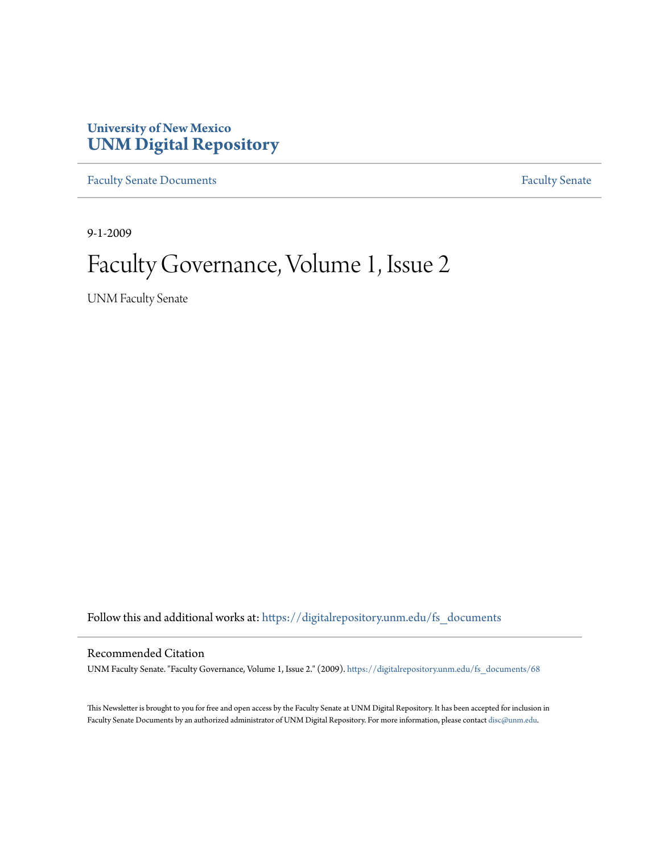### **University of New Mexico [UNM Digital Repository](https://digitalrepository.unm.edu?utm_source=digitalrepository.unm.edu%2Ffs_documents%2F68&utm_medium=PDF&utm_campaign=PDFCoverPages)**

[Faculty Senate Documents](https://digitalrepository.unm.edu/fs_documents?utm_source=digitalrepository.unm.edu%2Ffs_documents%2F68&utm_medium=PDF&utm_campaign=PDFCoverPages) **[Faculty Senate](https://digitalrepository.unm.edu/faculty_senate?utm_source=digitalrepository.unm.edu%2Ffs_documents%2F68&utm_medium=PDF&utm_campaign=PDFCoverPages)** Procuments **Faculty** Senate

9-1-2009

# Faculty Governance, Volume 1, Issue 2

UNM Faculty Senate

Follow this and additional works at: [https://digitalrepository.unm.edu/fs\\_documents](https://digitalrepository.unm.edu/fs_documents?utm_source=digitalrepository.unm.edu%2Ffs_documents%2F68&utm_medium=PDF&utm_campaign=PDFCoverPages)

#### Recommended Citation

UNM Faculty Senate. "Faculty Governance, Volume 1, Issue 2." (2009). [https://digitalrepository.unm.edu/fs\\_documents/68](https://digitalrepository.unm.edu/fs_documents/68?utm_source=digitalrepository.unm.edu%2Ffs_documents%2F68&utm_medium=PDF&utm_campaign=PDFCoverPages)

This Newsletter is brought to you for free and open access by the Faculty Senate at UNM Digital Repository. It has been accepted for inclusion in Faculty Senate Documents by an authorized administrator of UNM Digital Repository. For more information, please contact [disc@unm.edu](mailto:disc@unm.edu).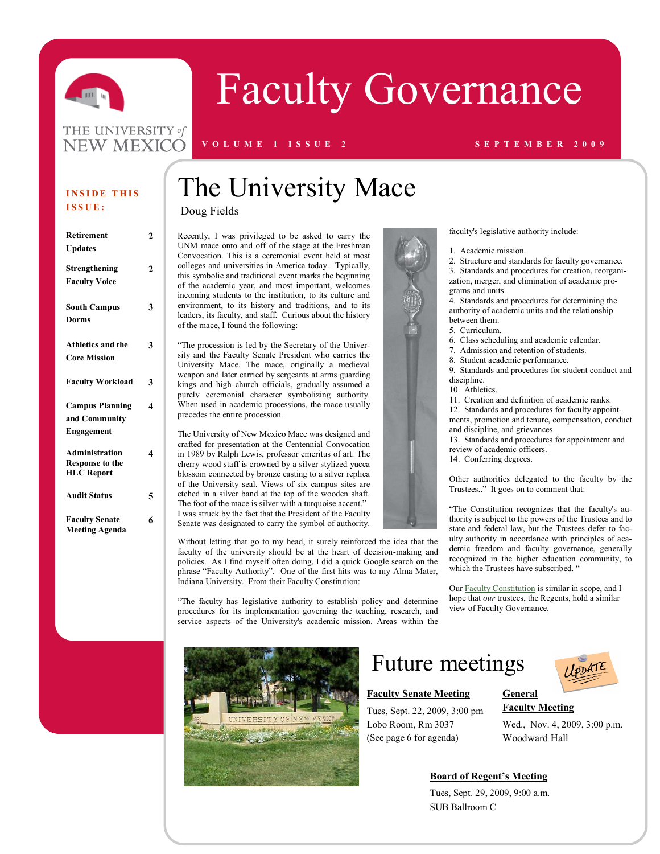

# Faculty Governance

#### THE UNIVERSITY of **NEW MEXICO**

#### **V O L U M E 1 I S S U E 2 S E P T E M B E R 2 0 0 9**

#### **INSIDE THIS I S S U E :**

| Retirement               | 2 |
|--------------------------|---|
| <b>Updates</b>           |   |
|                          |   |
| Strengthening            | 2 |
| <b>Faculty Voice</b>     |   |
|                          |   |
| <b>South Campus</b>      | 3 |
| <b>Dorms</b>             |   |
|                          |   |
| <b>Athletics and the</b> | 3 |
| <b>Core Mission</b>      |   |
|                          |   |
| <b>Faculty Workload</b>  | 3 |
|                          |   |
| <b>Campus Planning</b>   | 4 |
| and Community            |   |
| Engagement               |   |
|                          |   |
| <b>Administration</b>    | 4 |
| <b>Response to the</b>   |   |
| <b>HLC</b> Report        |   |
| <b>Audit Status</b>      | 5 |
|                          |   |
| <b>Faculty Senate</b>    | 6 |
| <b>Meeting Agenda</b>    |   |
|                          |   |

# The University Mace

Doug Fields

Recently, I was privileged to be asked to carry the UNM mace onto and off of the stage at the Freshman Convocation. This is a ceremonial event held at most colleges and universities in America today. Typically, this symbolic and traditional event marks the beginning of the academic year, and most important, welcomes incoming students to the institution, to its culture and environment, to its history and traditions, and to its leaders, its faculty, and staff. Curious about the history of the mace, I found the [following:](http://graduation.unm.edu/history.html)

"The procession is led by the Secretary of the University and the Faculty Senate President who carries the University Mace. The mace, originally a medieval weapon and later carried by sergeants at arms guarding kings and high church officials, gradually assumed a purely ceremonial character symbolizing authority. When used in academic processions, the mace usually precedes the entire procession.

The University of New Mexico Mace was designed and crafted for presentation at the Centennial Convocation in 1989 by Ralph Lewis, professor emeritus of art. The cherry wood staff is crowned by a silver stylized yucca blossom connected by bronze casting to a silver replica of the University seal. Views of six campus sites are etched in a silver band at the top of the wooden shaft. The foot of the mace is silver with a turquoise accent." I was struck by the fact that the President of the Faculty Senate was designated to carry the symbol of authority.

Without letting that go to my head, it surely reinforced the idea that the faculty of the university should be at the heart of decision-making and policies. As I find myself often doing, I did a quick Google search on the phrase "Faculty Authority". One of the first hits was to my Alma Mater, Indiana University. From their Faculty Constitution:

"The faculty has legislative authority to establish policy and determine procedures for its implementation governing the teaching, research, and service aspects of the University's academic mission. Areas within the



# Future meetings

#### **Faculty Senate Meeting**

Tues, Sept. 22, 2009, 3:00 pm Lobo Room, Rm 3037 (See page 6 for agenda)



faculty's legislative authority include:

1. Academic mission.

2. Structure and standards for faculty governance. 3. Standards and procedures for creation, reorganization, merger, and elimination of academic programs and units.

4. Standards and procedures for determining the authority of academic units and the relationship between them.

- 5. Curriculum.
- 6. Class scheduling and academic calendar.
- 7. Admission and retention of students.
- 8. Student academic performance.

9. Standards and procedures for student conduct and discipline.

- 10. Athletics.
- 11. Creation and definition of academic ranks.

12. Standards and procedures for faculty appointments, promotion and tenure, compensation, conduct and discipline, and grievances.

13. Standards and procedures for appointment and review of academic officers.

14. Conferring degrees.

Other authorities delegated to the faculty by the Trustees.." It goes on to comment that:

"The Constitution recognizes that the faculty's authority is subject to the powers of the Trustees and to state and federal law, but the Trustees defer to faculty authority in accordance with principles of academic freedom and faculty governance, generally recognized in the higher education community, to which the Trustees have subscribed. "

Our [Faculty Constitution](http://www.unm.edu/~handbook/A51.html) is similar in scope, and I hope that *our* trustees, the Regents, hold a similar view of Faculty Governance.



**General Faculty Meeting**

Wed., Nov. 4, 2009, 3:00 p.m. Woodward Hall

#### **Board of Regent's Meeting**

Tues, Sept. 29, 2009, 9:00 a.m. SUB Ballroom C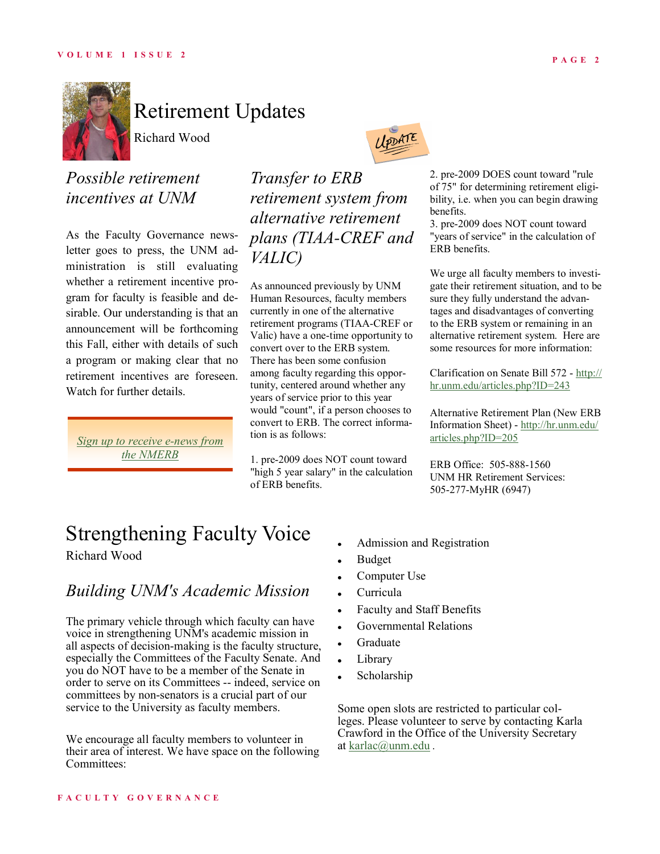

# Retirement Updates

Richard Wood

### *Possible retirement incentives at UNM*

As the Faculty Governance newsletter goes to press, the UNM administration is still evaluating whether a retirement incentive program for faculty is feasible and desirable. Our understanding is that an announcement will be forthcoming this Fall, either with details of such a program or making clear that no retirement incentives are foreseen. Watch for further details.

*[Sign up to receive e-news from](http://www.nmerb.org/enews.htm)  [the NMERB](http://www.nmerb.org/enews.htm)*

*Transfer to ERB retirement system from alternative retirement plans (TIAA-CREF and VALIC)*

IPDATE

As announced previously by UNM Human Resources, faculty members currently in one of the alternative retirement programs (TIAA-CREF or Valic) have a one-time opportunity to convert over to the ERB system. There has been some confusion among faculty regarding this opportunity, centered around whether any years of service prior to this year would "count", if a person chooses to convert to ERB. The correct information is as follows:

1. pre-2009 does NOT count toward "high 5 year salary" in the calculation of ERB benefits.

2. pre-2009 DOES count toward "rule of 75" for determining retirement eligibility, i.e. when you can begin drawing benefits.

3. pre-2009 does NOT count toward "years of service" in the calculation of ERB benefits.

We urge all faculty members to investigate their retirement situation, and to be sure they fully understand the advantages and disadvantages of converting to the ERB system or remaining in an alternative retirement system. Here are some resources for more information:

Clarification on Senate Bill 572 - [http://](http://hr.unm.edu/articles.php?ID=243) [hr.unm.edu/articles.php?ID=243](http://hr.unm.edu/articles.php?ID=243)

Alternative Retirement Plan (New ERB Information Sheet) - [http://hr.unm.edu/](http://hr.unm.edu/articles.php?ID=205) [articles.php?ID=205](http://hr.unm.edu/articles.php?ID=205)

ERB Office: 505-888-1560 UNM HR Retirement Services: 505-277-MyHR (6947)

# Strengthening Faculty Voice

Richard Wood

### *Building UNM's Academic Mission*

The primary vehicle through which faculty can have voice in strengthening UNM's academic mission in all aspects of decision-making is the faculty structure, especially the Committees of the Faculty Senate. And you do NOT have to be a member of the Senate in order to serve on its Committees -- indeed, service on committees by non-senators is a crucial part of our service to the University as faculty members.

We encourage all faculty members to volunteer in their area of interest. We have space on the following Committees:

- Admission and Registration
- Budget
- Computer Use
- Curricula
- Faculty and Staff Benefits
- Governmental Relations
- Graduate
- Library
- Scholarship

Some open slots are restricted to particular colleges. Please volunteer to serve by contacting Karla Crawford in the Office of the University Secretary at [karlac@unm.edu](mailto:karlac@unm.edu) .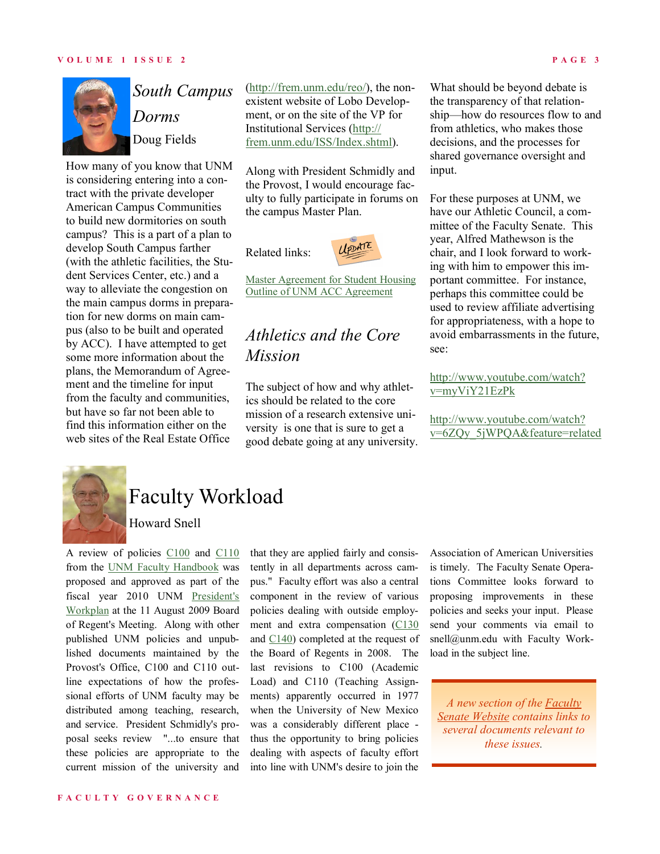

# *South Campus Dorms* Doug Fields

How many of you know that UNM is considering entering into a contract with the private developer American Campus Communities to build new dormitories on south campus? This is a part of a plan to develop South Campus farther (with the athletic facilities, the Student Services Center, etc.) and a way to alleviate the congestion on the main campus dorms in preparation for new dorms on main campus (also to be built and operated by ACC). I have attempted to get some more information about the plans, the Memorandum of Agreement and the timeline for input from the faculty and communities, but have so far not been able to find this information either on the web sites of the Real Estate Office

[\(http://frem.unm.edu/reo/\)](http://frem.unm.edu/reo/), the nonexistent website of Lobo Development, or on the site of the VP for Institutional Services [\(http://](http://frem.unm.edu/ISS/Index.shtml) [frem.unm.edu/ISS/Index.shtml\)](http://frem.unm.edu/ISS/Index.shtml).

Along with President Schmidly and the Provost, I would encourage faculty to fully participate in forums on the campus Master Plan.

Related links:



[Master Agreement for Student Housing](http://facgov.unm.edu/workingdocs/studenthousing/Master%20Agreement%20for%20UNM%20Housing.pdf) [Outline of UNM ACC Agreement](http://facgov.unm.edu/workingdocs/studenthousing/Outline%20of%20UNM%20ACC%20Master%20Agreement.pdf)

## *Athletics and the Core Mission*

The subject of how and why athletics should be related to the core mission of a research extensive university is one that is sure to get a good debate going at any university. What should be beyond debate is the transparency of that relationship—how do resources flow to and from athletics, who makes those decisions, and the processes for shared governance oversight and input.

For these purposes at UNM, we have our Athletic Council, a committee of the Faculty Senate. This year, Alfred Mathewson is the chair, and I look forward to working with him to empower this important committee. For instance, perhaps this committee could be used to review affiliate advertising for appropriateness, with a hope to avoid embarrassments in the future, see:

#### [http://www.youtube.com/watch?](http://www.youtube.com/watch?v=myViY21EzPk) [v=myViY21EzPk](http://www.youtube.com/watch?v=myViY21EzPk)

[http://www.youtube.com/watch?](http://www.youtube.com/watch?v=6ZQy_5jWPQA&feature=related) [v=6ZQy\\_5jWPQA&feature=related](http://www.youtube.com/watch?v=6ZQy_5jWPQA&feature=related)



# Faculty Workload

Howard Snell

A review of policies [C100](http://www.unm.edu/~handbook/C100.html) and [C110](http://www.unm.edu/~handbook/C110.html) from the [UNM Faculty Handbook](http://www.unm.edu/~handbook/) was proposed and approved as part of the fiscal year 2010 UNM [President's](http://www.unm.edu/president/documents/workplan_FY09-10.pdf)  [Workplan](http://www.unm.edu/president/documents/workplan_FY09-10.pdf) at the 11 August 2009 Board of Regent's Meeting. Along with other published UNM policies and unpublished documents maintained by the Provost's Office, C100 and C110 outline expectations of how the professional efforts of UNM faculty may be distributed among teaching, research, and service. President Schmidly's proposal seeks review "...to ensure that these policies are appropriate to the current mission of the university and that they are applied fairly and consistently in all departments across campus." Faculty effort was also a central component in the review of various policies dealing with outside employment and extra compensation ([C130](http://www.unm.edu/~handbook/C130.html) and  $C140$ ) completed at the request of the Board of Regents in 2008. The last revisions to C100 (Academic Load) and C110 (Teaching Assignments) apparently occurred in 1977 when the University of New Mexico was a considerably different place thus the opportunity to bring policies dealing with aspects of faculty effort into line with UNM's desire to join the

Association of American Universities is timely. The Faculty Senate Operations Committee looks forward to proposing improvements in these policies and seeks your input. Please send your comments via email to snell@unm.edu with Faculty Workload in the subject line.

*A new section of the [Faculty](http://facgov.unm.edu/workingdocs/)  [Senate Website](http://facgov.unm.edu/workingdocs/) contains links to several documents relevant to these issues.*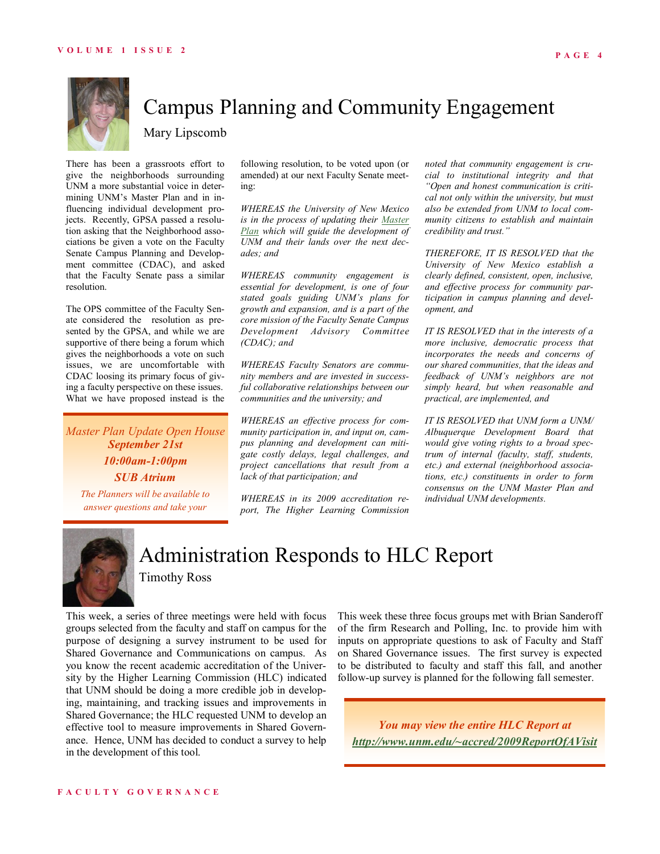

# Campus Planning and Community Engagement

Mary Lipscomb

There has been a grassroots effort to give the neighborhoods surrounding UNM a more substantial voice in determining UNM's Master Plan and in influencing individual development projects. Recently, GPSA passed a resolution asking that the Neighborhood associations be given a vote on the Faculty Senate Campus Planning and Development committee (CDAC), and asked that the Faculty Senate pass a similar resolution.

The OPS committee of the Faculty Senate considered the resolution as presented by the GPSA, and while we are supportive of there being a forum which gives the neighborhoods a vote on such issues, we are uncomfortable with CDAC loosing its primary focus of giving a faculty perspective on these issues. What we have proposed instead is the

*Master Plan Update Open House September 21st 10:00am-1:00pm SUB Atrium*

*The Planners will be available to answer questions and take your* 

following resolution, to be voted upon (or amended) at our next Faculty Senate meeting:

*WHEREAS the University of New Mexico is in the process of updating their [Master](http://frem.unm.edu/PCD/university-planning/master-planning/index.html)  [Plan](http://frem.unm.edu/PCD/university-planning/master-planning/index.html) which will guide the development of UNM and their lands over the next decades; and* 

*WHEREAS community engagement is essential for development, is one of four stated goals guiding UNM's plans for growth and expansion, and is a part of the core mission of the Faculty Senate Campus Development Advisory Committee (CDAC); and* 

*WHEREAS Faculty Senators are community members and are invested in successful collaborative relationships between our communities and the university; and* 

*WHEREAS an effective process for community participation in, and input on, campus planning and development can mitigate costly delays, legal challenges, and project cancellations that result from a lack of that participation; and* 

*WHEREAS in its 2009 accreditation report, The Higher Learning Commission*  *noted that community engagement is crucial to institutional integrity and that "Open and honest communication is critical not only within the university, but must also be extended from UNM to local community citizens to establish and maintain credibility and trust."* 

*THEREFORE, IT IS RESOLVED that the University of New Mexico establish a clearly defined, consistent, open, inclusive, and effective process for community participation in campus planning and development, and* 

*IT IS RESOLVED that in the interests of a more inclusive, democratic process that incorporates the needs and concerns of our shared communities, that the ideas and feedback of UNM's neighbors are not simply heard, but when reasonable and practical, are implemented, and* 

*IT IS RESOLVED that UNM form a UNM/ Albuquerque Development Board that would give voting rights to a broad spectrum of internal (faculty, staff, students, etc.) and external (neighborhood associations, etc.) constituents in order to form consensus on the UNM Master Plan and individual UNM developments.* 



## Administration Responds to HLC Report

Timothy Ross

This week, a series of three meetings were held with focus groups selected from the faculty and staff on campus for the purpose of designing a survey instrument to be used for Shared Governance and Communications on campus. As you know the recent academic accreditation of the University by the Higher Learning Commission (HLC) indicated that UNM should be doing a more credible job in developing, maintaining, and tracking issues and improvements in Shared Governance; the HLC requested UNM to develop an effective tool to measure improvements in Shared Governance. Hence, UNM has decided to conduct a survey to help in the development of this tool.

This week these three focus groups met with Brian Sanderoff of the firm Research and Polling, Inc. to provide him with inputs on appropriate questions to ask of Faculty and Staff on Shared Governance issues. The first survey is expected to be distributed to faculty and staff this fall, and another follow-up survey is planned for the following fall semester.

*You may view the entire HLC Report at [http://www.unm.edu/~accred/2009ReportOfAVisit](http://www.unm.edu/~accred/2009ReportOfAVisit.html)*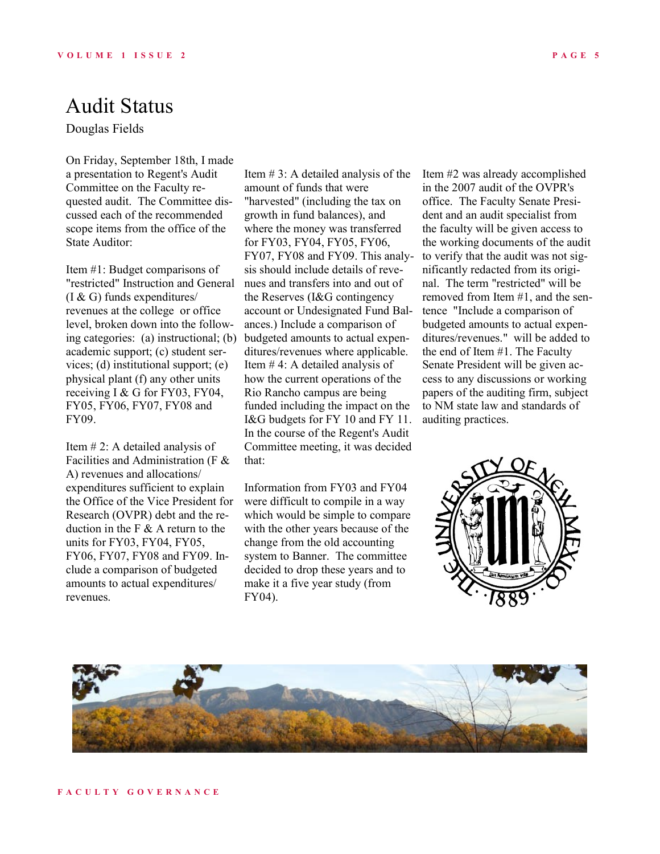## Audit Status

Douglas Fields

On Friday, September 18th, I made a presentation to Regent's Audit Committee on the Faculty requested audit. The Committee discussed each of the recommended scope items from the office of the State Auditor:

Item #1: Budget comparisons of "restricted" Instruction and General (I & G) funds expenditures/ revenues at the college or office level, broken down into the following categories: (a) instructional; (b) academic support; (c) student services; (d) institutional support; (e) physical plant (f) any other units receiving I & G for FY03, FY04, FY05, FY06, FY07, FY08 and FY09.

Item # 2: A detailed analysis of Facilities and Administration (F & A) revenues and allocations/ expenditures sufficient to explain the Office of the Vice President for Research (OVPR) debt and the reduction in the F  $\&$  A return to the units for FY03, FY04, FY05, FY06, FY07, FY08 and FY09. Include a comparison of budgeted amounts to actual expenditures/ revenues.

Item  $# 3$ : A detailed analysis of the amount of funds that were "harvested" (including the tax on growth in fund balances), and where the money was transferred for FY03, FY04, FY05, FY06, FY07, FY08 and FY09. This analysis should include details of revenues and transfers into and out of the Reserves (I&G contingency account or Undesignated Fund Balances.) Include a comparison of budgeted amounts to actual expenditures/revenues where applicable. Item # 4: A detailed analysis of how the current operations of the Rio Rancho campus are being funded including the impact on the I&G budgets for FY 10 and FY 11. In the course of the Regent's Audit Committee meeting, it was decided that:

Information from FY03 and FY04 were difficult to compile in a way which would be simple to compare with the other years because of the change from the old accounting system to Banner. The committee decided to drop these years and to make it a five year study (from FY04).

Item #2 was already accomplished in the 2007 audit of the OVPR's office. The Faculty Senate President and an audit specialist from the faculty will be given access to the working documents of the audit to verify that the audit was not significantly redacted from its original. The term "restricted" will be removed from Item #1, and the sentence "Include a comparison of budgeted amounts to actual expenditures/revenues." will be added to the end of Item #1. The Faculty Senate President will be given access to any discussions or working papers of the auditing firm, subject to NM state law and standards of auditing practices.